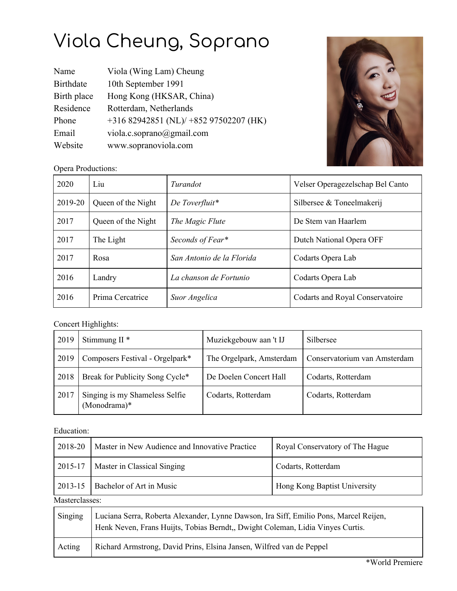## Viola Cheung, Soprano

| Name             | Viola (Wing Lam) Cheung                |
|------------------|----------------------------------------|
| <b>Birthdate</b> | 10th September 1991                    |
| Birth place      | Hong Kong (HKSAR, China)               |
| Residence        | Rotterdam, Netherlands                 |
| Phone            | +316 82942851 (NL)/ +852 97502207 (HK) |
| Email            | viola.c.soprano@gmail.com              |
| Website          | www.sopranoviola.com                   |



Opera Productions:

| 2020    | Liu                | Turandot                  | Velser Operagezelschap Bel Canto |
|---------|--------------------|---------------------------|----------------------------------|
| 2019-20 | Queen of the Night | De Toverfluit*            | Silbersee & Toneelmakerij        |
| 2017    | Queen of the Night | The Magic Flute           | De Stem van Haarlem              |
| 2017    | The Light          | Seconds of Fear*          | Dutch National Opera OFF         |
| 2017    | Rosa               | San Antonio de la Florida | Codarts Opera Lab                |
| 2016    | Landry             | La chanson de Fortunio    | Codarts Opera Lab                |
| 2016    | Prima Cercatrice   | Suor Angelica             | Codarts and Royal Conservatoire  |

## Concert Highlights:

| 2019                                                   | Stimmung II $*$                 | Muziekgebouw aan 't IJ   | Silbersee                    |
|--------------------------------------------------------|---------------------------------|--------------------------|------------------------------|
| 2019                                                   | Composers Festival - Orgelpark* | The Orgelpark, Amsterdam | Conservatorium van Amsterdam |
| 2018                                                   | Break for Publicity Song Cycle* | De Doelen Concert Hall   | Codarts, Rotterdam           |
| Singing is my Shameless Selfie<br>2017<br>(Monodrama)* |                                 | Codarts, Rotterdam       | Codarts, Rotterdam           |

## Education:

| 2018-20        | Master in New Audience and Innovative Practice                                                                                                                          | Royal Conservatory of The Hague |  |  |
|----------------|-------------------------------------------------------------------------------------------------------------------------------------------------------------------------|---------------------------------|--|--|
| 2015-17        | Master in Classical Singing                                                                                                                                             | Codarts, Rotterdam              |  |  |
| 2013-15        | Bachelor of Art in Music                                                                                                                                                | Hong Kong Baptist University    |  |  |
| Masterclasses: |                                                                                                                                                                         |                                 |  |  |
| Singing        | Luciana Serra, Roberta Alexander, Lynne Dawson, Ira Siff, Emilio Pons, Marcel Reijen,<br>Henk Neven, Frans Huijts, Tobias Berndt,, Dwight Coleman, Lidia Vinyes Curtis. |                                 |  |  |
| Acting         | Richard Armstrong, David Prins, Elsina Jansen, Wilfred van de Peppel                                                                                                    |                                 |  |  |